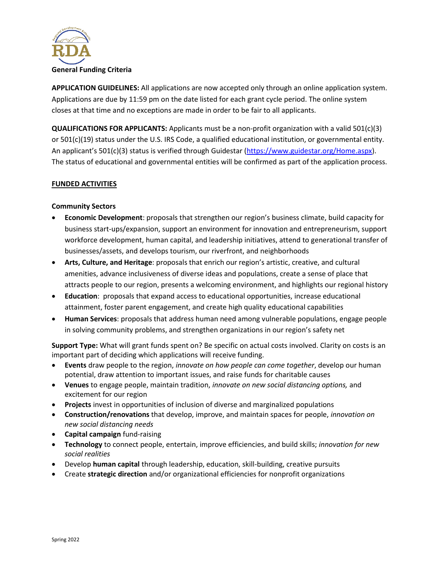

**APPLICATION GUIDELINES:** All applications are now accepted only through an online application system. Applications are due by 11:59 pm on the date listed for each grant cycle period. The online system closes at that time and no exceptions are made in order to be fair to all applicants.

**QUALIFICATIONS FOR APPLICANTS:** Applicants must be a non-profit organization with a valid 501(c)(3) or 501(c)(19) status under the U.S. IRS Code, a qualified educational institution, or governmental entity. An applicant's 501(c)(3) status is verified through Guidestar [\(https://www.guidestar.org/Home.aspx\)](https://www.guidestar.org/Home.aspx). The status of educational and governmental entities will be confirmed as part of the application process.

## **FUNDED ACTIVITIES**

## **Community Sectors**

- **Economic Development**: proposals that strengthen our region's business climate, build capacity for business start-ups/expansion, support an environment for innovation and entrepreneurism, support workforce development, human capital, and leadership initiatives, attend to generational transfer of businesses/assets, and develops tourism, our riverfront, and neighborhoods
- **Arts, Culture, and Heritage**: proposals that enrich our region's artistic, creative, and cultural amenities, advance inclusiveness of diverse ideas and populations, create a sense of place that attracts people to our region, presents a welcoming environment, and highlights our regional history
- **Education**: proposals that expand access to educational opportunities, increase educational attainment, foster parent engagement, and create high quality educational capabilities
- **Human Services**: proposals that address human need among vulnerable populations, engage people in solving community problems, and strengthen organizations in our region's safety net

**Support Type:** What will grant funds spent on? Be specific on actual costs involved. Clarity on costs is an important part of deciding which applications will receive funding.

- **Events** draw people to the region, *innovate on how people can come together*, develop our human potential, draw attention to important issues, and raise funds for charitable causes
- **Venues** to engage people, maintain tradition, *innovate on new social distancing options,* and excitement for our region
- **Projects** invest in opportunities of inclusion of diverse and marginalized populations
- **Construction/renovations** that develop, improve, and maintain spaces for people, *innovation on new social distancing needs*
- **Capital campaign** fund-raising
- **Technology** to connect people, entertain, improve efficiencies, and build skills; *innovation for new social realities*
- Develop **human capital** through leadership, education, skill-building, creative pursuits
- Create **strategic direction** and/or organizational efficiencies for nonprofit organizations